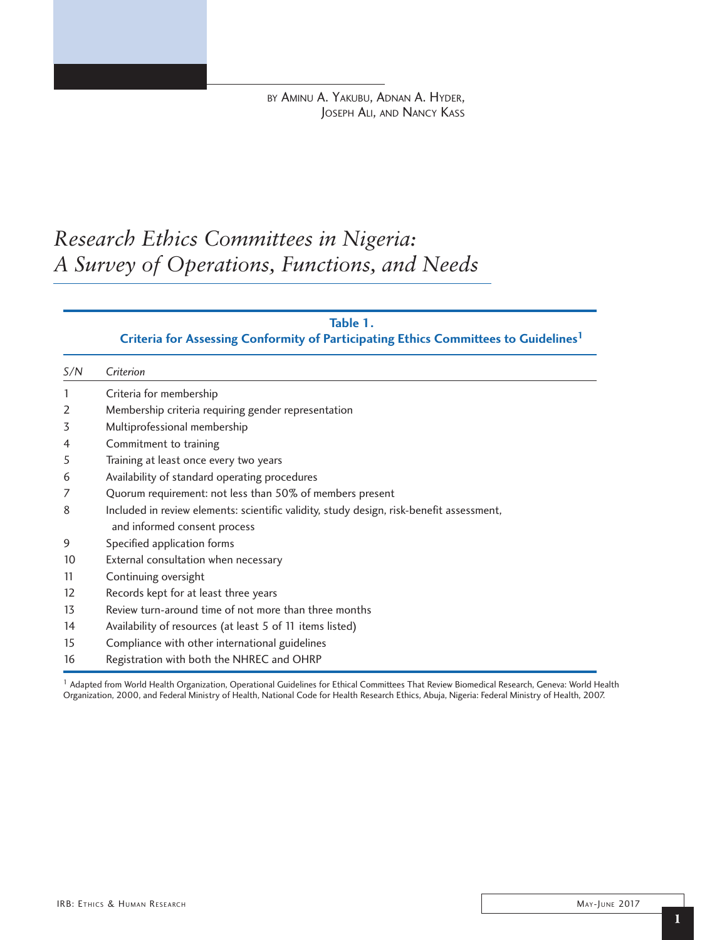by Aminu A. Yakubu, Adnan A. Hyder, Joseph Ali, and Nancy Kass

# *Research Ethics Committees in Nigeria: A Survey of Operations, Functions, and Needs*

#### **Table 1.**

### **Criteria for Assessing Conformity of Participating Ethics Committees to Guidelines1**

| S/N | Criterion                                                                                |
|-----|------------------------------------------------------------------------------------------|
|     | Criteria for membership                                                                  |
| 2   | Membership criteria requiring gender representation                                      |
| 3   | Multiprofessional membership                                                             |
| 4   | Commitment to training                                                                   |
| 5   | Training at least once every two years                                                   |
| 6   | Availability of standard operating procedures                                            |
| 7   | Quorum requirement: not less than 50% of members present                                 |
| 8   | Included in review elements: scientific validity, study design, risk-benefit assessment, |
|     | and informed consent process                                                             |
| 9   | Specified application forms                                                              |
| 10  | External consultation when necessary                                                     |
| 11  | Continuing oversight                                                                     |
| 12  | Records kept for at least three years                                                    |
| 13  | Review turn-around time of not more than three months                                    |
| 14  | Availability of resources (at least 5 of 11 items listed)                                |
| 15  | Compliance with other international guidelines                                           |
| 16  | Registration with both the NHREC and OHRP                                                |

<sup>1</sup> Adapted from World Health Organization, Operational Guidelines for Ethical Committees That Review Biomedical Research, Geneva: World Health Organization, 2000, and Federal Ministry of Health, National Code for Health Research Ethics, Abuja, Nigeria: Federal Ministry of Health, 2007.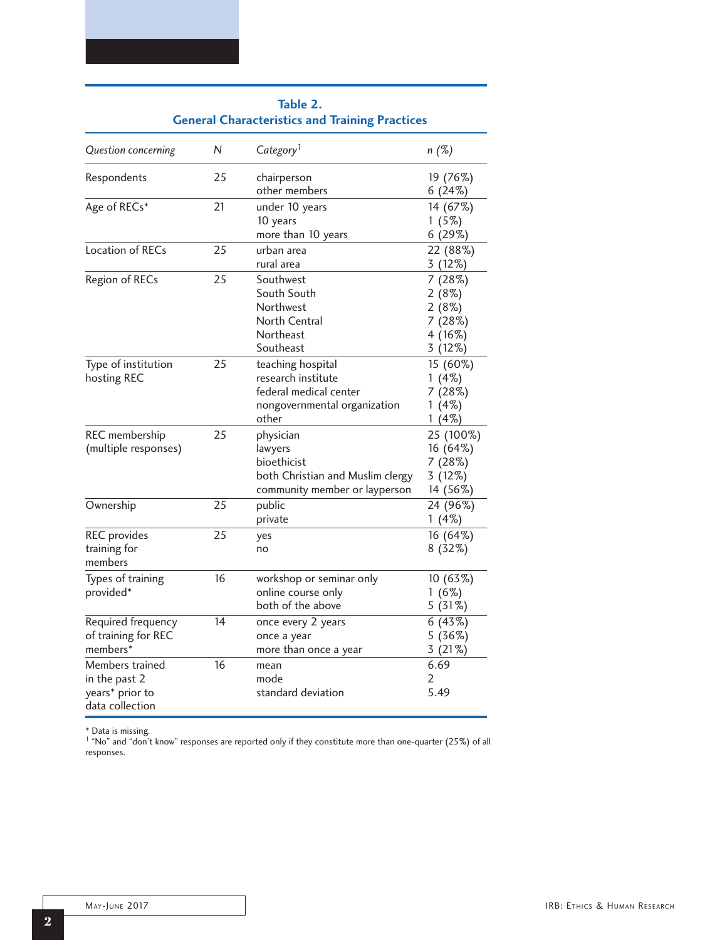|                                                                        | General Characteristics and Training Practices |                                                                                                            |                                                          |  |  |  |
|------------------------------------------------------------------------|------------------------------------------------|------------------------------------------------------------------------------------------------------------|----------------------------------------------------------|--|--|--|
| Question concerning                                                    | N                                              | Category <sup>1</sup>                                                                                      | n (%)                                                    |  |  |  |
| Respondents                                                            | 25                                             | chairperson<br>other members                                                                               | 19 (76%)<br>6(24%)                                       |  |  |  |
| Age of RECs*                                                           | 21                                             | under 10 years<br>10 years<br>more than 10 years                                                           | 14 (67%)<br>1(5%)<br>6(29%)                              |  |  |  |
| Location of RECs                                                       | 25                                             | urban area<br>rural area                                                                                   | 22 (88%)<br>3(12%)                                       |  |  |  |
| Region of RECs                                                         | 25                                             | Southwest<br>South South<br>Northwest<br><b>North Central</b><br>Northeast<br>Southeast                    | 7(28%)<br>2(8%)<br>2(8%)<br>7 (28%)<br>4(16%)<br>3 (12%) |  |  |  |
| Type of institution<br>hosting REC                                     | 25                                             | teaching hospital<br>research institute<br>federal medical center<br>nongovernmental organization<br>other | 15 (60%)<br>$1(4\%)$<br>7(28%)<br>$1(4\%)$<br>$1(4\%)$   |  |  |  |
| REC membership<br>(multiple responses)                                 | 25                                             | physician<br>lawyers<br>bioethicist<br>both Christian and Muslim clergy<br>community member or layperson   | 25 (100%)<br>16 (64%)<br>7 (28%)<br>3 (12%)<br>14 (56%)  |  |  |  |
| Ownership                                                              | 25                                             | public<br>private                                                                                          | 24 (96%)<br>$1(4\%)$                                     |  |  |  |
| <b>REC</b> provides<br>training for<br>members                         | 25                                             | yes<br>no                                                                                                  | 16 (64%)<br>$8(32\%)$                                    |  |  |  |
| Types of training<br>provided*                                         | 16                                             | workshop or seminar only<br>online course only<br>both of the above                                        | 10 (63%)<br>$1(6\%)$<br>5 (31%)                          |  |  |  |
| Required frequency<br>of training for REC<br>members*                  | 14                                             | once every 2 years<br>once a year<br>more than once a year                                                 | 6(43%)<br>5(36%)<br>3(21%)                               |  |  |  |
| Members trained<br>in the past 2<br>years* prior to<br>data collection | 16                                             | mean<br>mode<br>standard deviation                                                                         | 6.69<br>2<br>5.49                                        |  |  |  |

| Table 2.                                              |  |  |  |  |  |
|-------------------------------------------------------|--|--|--|--|--|
| <b>General Characteristics and Training Practices</b> |  |  |  |  |  |

\* Data is missing. 1 "No" and "don't know" responses are reported only if they constitute more than one-quarter (25%) of all responses.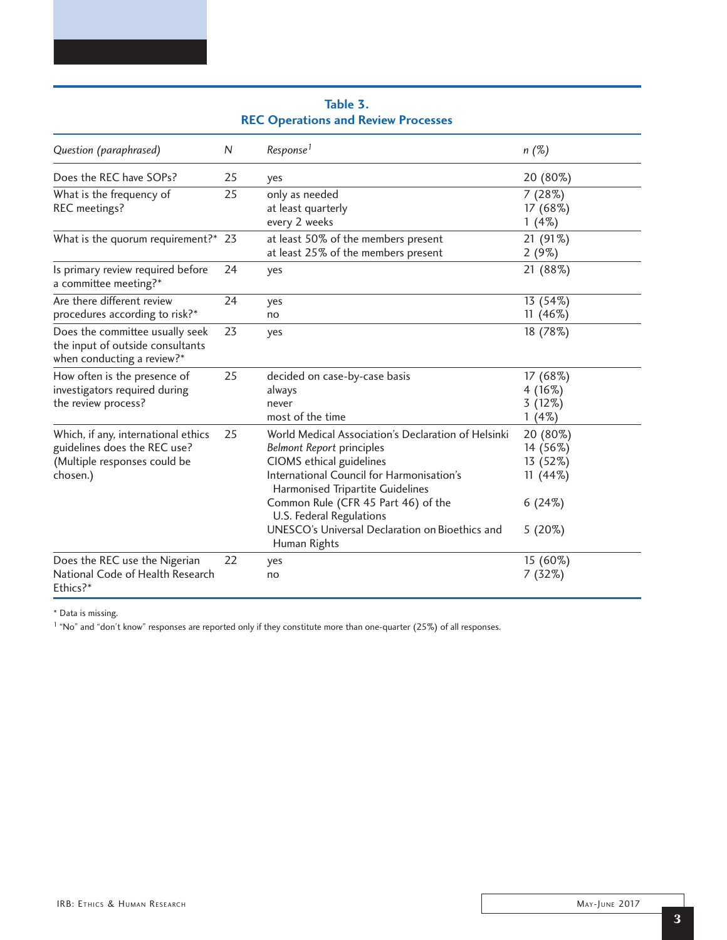| Question (paraphrased)                                                                                          | N  | Response <sup>1</sup>                                                                                                                                                                                                                                                                                                      | $n(\%)$                                                            |
|-----------------------------------------------------------------------------------------------------------------|----|----------------------------------------------------------------------------------------------------------------------------------------------------------------------------------------------------------------------------------------------------------------------------------------------------------------------------|--------------------------------------------------------------------|
| Does the REC have SOPs?                                                                                         | 25 | yes                                                                                                                                                                                                                                                                                                                        | 20 (80%)                                                           |
| What is the frequency of<br>REC meetings?                                                                       | 25 | only as needed<br>at least quarterly<br>every 2 weeks                                                                                                                                                                                                                                                                      | 7(28%)<br>17 (68%)<br>$1(4\%)$                                     |
| What is the quorum requirement?* 23                                                                             |    | at least 50% of the members present<br>at least 25% of the members present                                                                                                                                                                                                                                                 | 21 (91%)<br>2(9%)                                                  |
| Is primary review required before<br>a committee meeting?*                                                      | 24 | yes                                                                                                                                                                                                                                                                                                                        | 21 (88%)                                                           |
| Are there different review<br>procedures according to risk?*                                                    | 24 | yes<br>no                                                                                                                                                                                                                                                                                                                  | 13 (54%)<br>11 $(46%)$                                             |
| Does the committee usually seek<br>the input of outside consultants<br>when conducting a review?*               | 23 | yes                                                                                                                                                                                                                                                                                                                        | 18 (78%)                                                           |
| How often is the presence of<br>investigators required during<br>the review process?                            | 25 | decided on case-by-case basis<br>always<br>never<br>most of the time                                                                                                                                                                                                                                                       | 17 (68%)<br>4(16%)<br>3(12%)<br>$1(4\%)$                           |
| Which, if any, international ethics<br>guidelines does the REC use?<br>(Multiple responses could be<br>chosen.) | 25 | World Medical Association's Declaration of Helsinki<br><b>Belmont Report principles</b><br>CIOMS ethical guidelines<br>International Council for Harmonisation's<br>Harmonised Tripartite Guidelines<br>Common Rule (CFR 45 Part 46) of the<br>U.S. Federal Regulations<br>UNESCO's Universal Declaration on Bioethics and | 20 (80%)<br>14 (56%)<br>13 (52%)<br>11(44%)<br>6(24%)<br>$5(20\%)$ |
| Does the REC use the Nigerian<br>National Code of Health Research<br>Ethics?*                                   | 22 | Human Rights<br>yes<br>no                                                                                                                                                                                                                                                                                                  | 15 (60%)<br>7(32%)                                                 |

### **Table 3. REC Operations and Review Processes**

\* Data is missing.

1 "No" and "don't know" responses are reported only if they constitute more than one-quarter (25%) of all responses.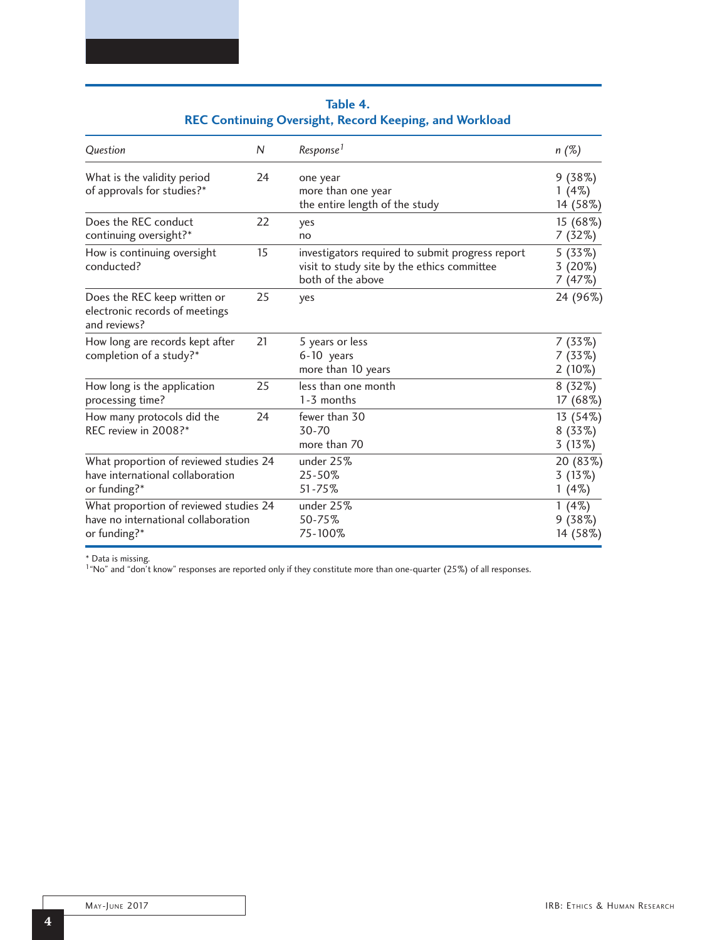| N<br>Question                                                                  |    | Response <sup>1</sup>                                                                                                | n (%)                           |
|--------------------------------------------------------------------------------|----|----------------------------------------------------------------------------------------------------------------------|---------------------------------|
| What is the validity period                                                    | 24 | one year                                                                                                             | 9(38%)                          |
| of approvals for studies?*                                                     |    | more than one year                                                                                                   | $1(4\%)$                        |
|                                                                                |    | the entire length of the study                                                                                       | 14 (58%)                        |
| Does the REC conduct                                                           | 22 | yes                                                                                                                  | 15 (68%)                        |
| continuing oversight?*                                                         |    | no                                                                                                                   | 7 (32%)                         |
| How is continuing oversight<br>conducted?                                      | 15 | investigators required to submit progress report<br>visit to study site by the ethics committee<br>both of the above | 5 (33%)<br>$3(20\%)$<br>7 (47%) |
| Does the REC keep written or<br>electronic records of meetings<br>and reviews? | 25 | yes                                                                                                                  | 24 (96%)                        |
| How long are records kept after<br>completion of a study?*                     | 21 | 5 years or less<br>6-10 years<br>more than 10 years                                                                  | 7 (33%)<br>7(33%)<br>$2(10\%)$  |
| How long is the application                                                    | 25 | less than one month                                                                                                  | $8(32\%)$                       |
| processing time?                                                               |    | 1-3 months                                                                                                           | 17 (68%)                        |
| 24                                                                             |    | fewer than 30                                                                                                        | 13 (54%)                        |
| How many protocols did the                                                     |    | 30-70                                                                                                                | $8(33\%)$                       |
| REC review in 2008?*                                                           |    | more than 70                                                                                                         | 3(13%)                          |
| What proportion of reviewed studies 24                                         |    | under 25%                                                                                                            | 20 (83%)                        |
| have international collaboration                                               |    | 25-50%                                                                                                               | 3(13%)                          |
| or funding?*                                                                   |    | 51-75%                                                                                                               | $1(4\%)$                        |
| What proportion of reviewed studies 24                                         |    | under 25%                                                                                                            | $1(4\%)$                        |
| have no international collaboration                                            |    | 50-75%                                                                                                               | 9(38%)                          |
| or funding?*                                                                   |    | 75-100%                                                                                                              | 14 (58%)                        |

## **Table 4. REC Continuing Oversight, Record Keeping, and Workload**

\* Data is missing. 1"No" and "don't know" responses are reported only if they constitute more than one-quarter (25%) of all responses.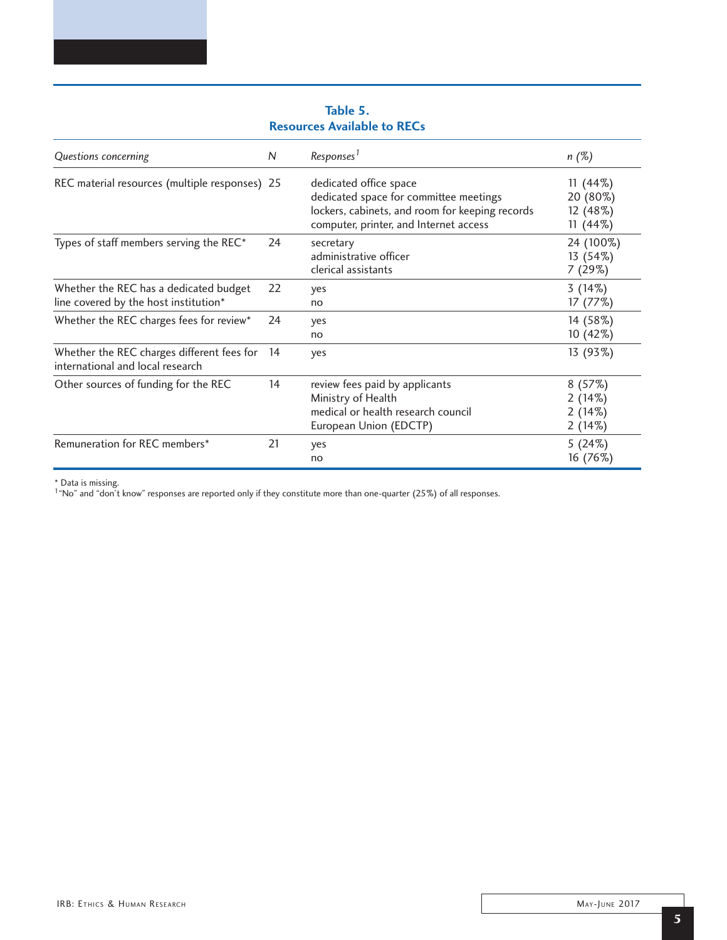| Questions concerning                                                            | N   | Responses <sup>1</sup>                                                                                                                                        | $n(\%)$                                          |
|---------------------------------------------------------------------------------|-----|---------------------------------------------------------------------------------------------------------------------------------------------------------------|--------------------------------------------------|
| REC material resources (multiple responses) 25                                  |     | dedicated office space<br>dedicated space for committee meetings<br>lockers, cabinets, and room for keeping records<br>computer, printer, and Internet access | $11(44\%)$<br>20 (80%)<br>12 (48%)<br>$11(44\%)$ |
| Types of staff members serving the REC*                                         | 24  | secretary<br>administrative officer<br>clerical assistants                                                                                                    | 24 (100%)<br>13 (54%)<br>7(29%)                  |
| Whether the REC has a dedicated budget<br>line covered by the host institution* | 22  | yes<br>no                                                                                                                                                     | 3(14%)<br>17 (77%)                               |
| Whether the REC charges fees for review*                                        | 24  | yes<br>no                                                                                                                                                     | 14 (58%)<br>10 (42%)                             |
| Whether the REC charges different fees for<br>international and local research  | -14 | yes                                                                                                                                                           | 13 (93%)                                         |
| Other sources of funding for the REC                                            | 14  | review fees paid by applicants<br>Ministry of Health<br>medical or health research council<br>European Union (EDCTP)                                          | 8(57%)<br>2(14%)<br>2(14%)<br>2(14%)             |
| Remuneration for REC members*                                                   | 21  | yes<br>no                                                                                                                                                     | 5(24%)<br>16 (76%)                               |

**Table 5. Resources Available to RECs** 

\* Data is missing. 1"No" and "don't know" responses are reported only if they constitute more than one-quarter (25%) of all responses.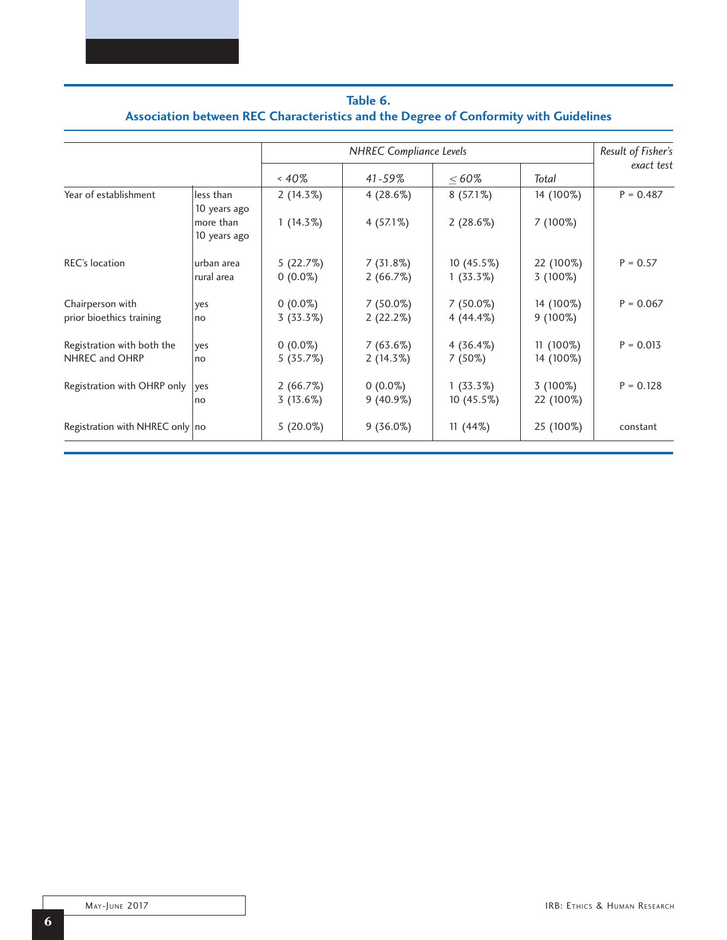| Table 6.                                                                             |
|--------------------------------------------------------------------------------------|
| Association between REC Characteristics and the Degree of Conformity with Guidelines |

|                                   |                           | <b>NHREC</b> Compliance Levels |             |             |            | Result of Fisher's<br>exact test |
|-----------------------------------|---------------------------|--------------------------------|-------------|-------------|------------|----------------------------------|
|                                   |                           | &40%                           | $41 - 59\%$ | $< 60\%$    | Total      |                                  |
| Year of establishment             | less than<br>10 years ago | $2(14.3\%)$                    | 4(28.6%)    | $8(57.1\%)$ | 14 (100%)  | $P = 0.487$                      |
|                                   | more than<br>10 years ago | $1(14.3\%)$                    | $4(57.1\%)$ | 2(28.6%)    | 7 (100%)   |                                  |
| <b>REC's location</b>             | urban area                | 5(22.7%)                       | 7(31.8%)    | 10 (45.5%)  | 22 (100%)  | $P = 0.57$                       |
|                                   | rural area                | $0(0.0\%)$                     | 2(66.7%)    | $1(33.3\%)$ | $3(100\%)$ |                                  |
| Chairperson with                  | yes                       | $0(0.0\%)$                     | $7(50.0\%)$ | $7(50.0\%)$ | 14 (100%)  | $P = 0.067$                      |
| prior bioethics training          | no                        | 3(33.3%)                       | 2(22.2%)    | $4(44.4\%)$ | $9(100\%)$ |                                  |
| Registration with both the        | yes                       | $0(0.0\%)$                     | 7(63.6%)    | $4(36.4\%)$ | 11 (100%)  | $P = 0.013$                      |
| NHREC and OHRP                    | n <sub>O</sub>            | 5(35.7%)                       | $2(14.3\%)$ | $7(50\%)$   | 14 (100%)  |                                  |
| Registration with OHRP only       | ves                       | 2(66.7%)                       | $0(0.0\%)$  | $1(33.3\%)$ | $3(100\%)$ | $P = 0.128$                      |
|                                   | no                        | 3(13.6%)                       | $9(40.9\%)$ | 10 (45.5%)  | 22 (100%)  |                                  |
| Registration with NHREC only   no |                           | $5(20.0\%)$                    | $9(36.0\%)$ | $11(44\%)$  | 25 (100%)  | constant                         |